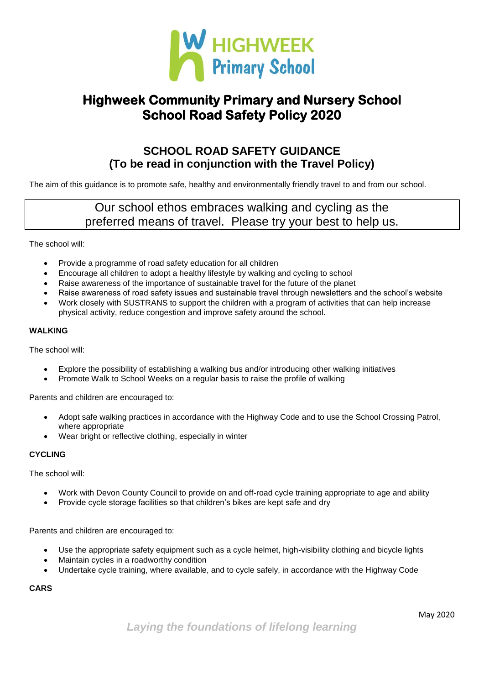

# **Highweek Community Primary and Nursery School School Road Safety Policy 2020**

### **SCHOOL ROAD SAFETY GUIDANCE (To be read in conjunction with the Travel Policy)**

The aim of this guidance is to promote safe, healthy and environmentally friendly travel to and from our school.

## Our school ethos embraces walking and cycling as the preferred means of travel. Please try your best to help us.

The school will:

- Provide a programme of road safety education for all children
- Encourage all children to adopt a healthy lifestyle by walking and cycling to school
- Raise awareness of the importance of sustainable travel for the future of the planet
- Raise awareness of road safety issues and sustainable travel through newsletters and the school's website
- Work closely with SUSTRANS to support the children with a program of activities that can help increase physical activity, reduce congestion and improve safety around the school.

#### **WALKING**

The school will:

- Explore the possibility of establishing a walking bus and/or introducing other walking initiatives
- Promote Walk to School Weeks on a regular basis to raise the profile of walking

Parents and children are encouraged to:

- Adopt safe walking practices in accordance with the Highway Code and to use the School Crossing Patrol, where appropriate
- Wear bright or reflective clothing, especially in winter

### **CYCLING**

The school will:

- Work with Devon County Council to provide on and off-road cycle training appropriate to age and ability
- Provide cycle storage facilities so that children's bikes are kept safe and dry

Parents and children are encouraged to:

- Use the appropriate safety equipment such as a cycle helmet, high-visibility clothing and bicycle lights
- Maintain cycles in a roadworthy condition
- Undertake cycle training, where available, and to cycle safely, in accordance with the Highway Code

**CARS**

*Laying the foundations of lifelong learning*